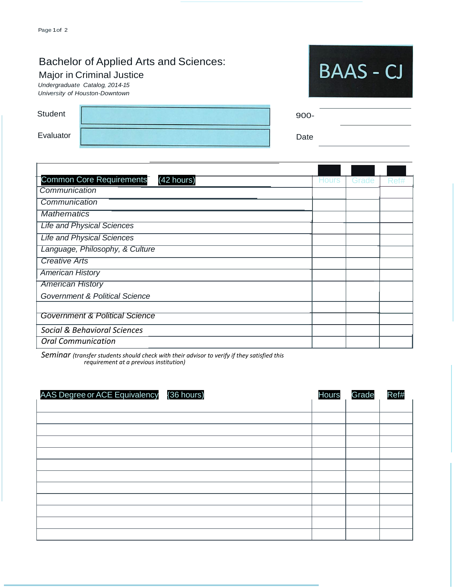## Bachelor of Applied Arts and Sciences:

## Major in Criminal Justice

*Undergraduate Catalog, 2014-15 University of Houston-Downtown*

| Student   |  |
|-----------|--|
| Evaluator |  |

| <b>BAAS - CJ</b> |  |
|------------------|--|
|                  |  |

| $900 -$ |  |  |
|---------|--|--|
| Date    |  |  |

| <b>Common Core Requirements</b><br>(42 hours) | Hours | Grade | Ret# |
|-----------------------------------------------|-------|-------|------|
| Communication                                 |       |       |      |
| Communication                                 |       |       |      |
| <b>Mathematics</b>                            |       |       |      |
| <b>Life and Physical Sciences</b>             |       |       |      |
| <b>Life and Physical Sciences</b>             |       |       |      |
| Language, Philosophy, & Culture               |       |       |      |
| <b>Creative Arts</b>                          |       |       |      |
| <b>American History</b>                       |       |       |      |
| <b>American History</b>                       |       |       |      |
| Government & Political Science                |       |       |      |
|                                               |       |       |      |
| <b>Government &amp; Political Science</b>     |       |       |      |
| Social & Behavioral Sciences                  |       |       |      |
| <b>Oral Communication</b>                     |       |       |      |

 *Seminar (transfer students should check with their advisor to verify if they satisfied this requirement at a previous institution)*

AAS Degree or ACE Equivalency {36 hours) Now the Motor State Ref#